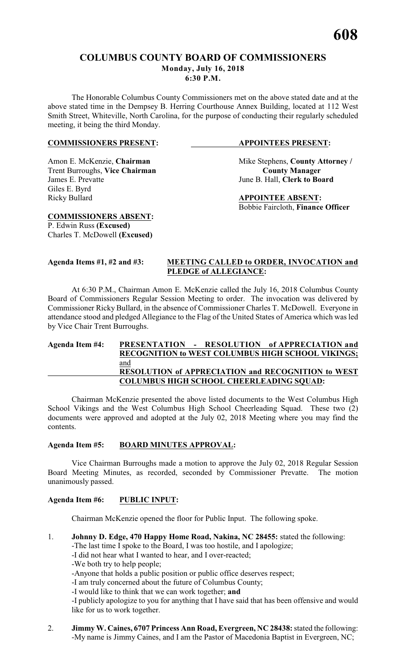#### **COLUMBUS COUNTY BOARD OF COMMISSIONERS Monday, July 16, 2018**

**6:30 P.M.**

The Honorable Columbus County Commissioners met on the above stated date and at the above stated time in the Dempsey B. Herring Courthouse Annex Building, located at 112 West Smith Street, Whiteville, North Carolina, for the purpose of conducting their regularly scheduled meeting, it being the third Monday.

#### **COMMISSIONERS PRESENT: APPOINTEES PRESENT:**

Trent Burroughs, Vice Chairman<br>James E. Prevatte Giles E. Byrd Ricky Bullard **APPOINTEE ABSENT:** 

Amon E. McKenzie, **Chairman** Mike Stephens, **County Attorney** / **Trent Burroughs, Vice Chairman County Manager** June B. Hall, **Clerk to Board** 

Bobbie Faircloth, **Finance Officer**

P. Edwin Russ **(Excused)** Charles T. McDowell **(Excused)**

**COMMISSIONERS ABSENT:**

#### **Agenda Items #1, #2 and #3: MEETING CALLED to ORDER, INVOCATION and PLEDGE of ALLEGIANCE:**

At 6:30 P.M., Chairman Amon E. McKenzie called the July 16, 2018 Columbus County Board of Commissioners Regular Session Meeting to order. The invocation was delivered by Commissioner Ricky Bullard, in the absence of Commissioner Charles T. McDowell. Everyone in attendance stood and pledged Allegiance to the Flag of the United States of America which was led by Vice Chair Trent Burroughs.

#### **Agenda Item #4: PRESENTATION - RESOLUTION of APPRECIATION and RECOGNITION to WEST COLUMBUS HIGH SCHOOL VIKINGS;** and **RESOLUTION of APPRECIATION and RECOGNITION to WEST COLUMBUS HIGH SCHOOL CHEERLEADING SQUAD:**

Chairman McKenzie presented the above listed documents to the West Columbus High School Vikings and the West Columbus High School Cheerleading Squad. These two (2) documents were approved and adopted at the July 02, 2018 Meeting where you may find the contents.

### **Agenda Item #5: BOARD MINUTES APPROVAL:**

Vice Chairman Burroughs made a motion to approve the July 02, 2018 Regular Session Board Meeting Minutes, as recorded, seconded by Commissioner Prevatte. The motion unanimously passed.

### **Agenda Item #6: PUBLIC INPUT:**

Chairman McKenzie opened the floor for Public Input. The following spoke.

1. **Johnny D. Edge, 470 Happy Home Road, Nakina, NC 28455:** stated the following:

-The last time I spoke to the Board, I was too hostile, and I apologize;

-I did not hear what I wanted to hear, and I over-reacted;

-We both try to help people;

-Anyone that holds a public position or public office deserves respect;

-I am truly concerned about the future of Columbus County;

-I would like to think that we can work together; **and**

-I publicly apologize to you for anything that I have said that has been offensive and would like for us to work together.

2. **Jimmy W. Caines, 6707 Princess Ann Road, Evergreen, NC 28438:**stated the following: -My name is Jimmy Caines, and I am the Pastor of Macedonia Baptist in Evergreen, NC;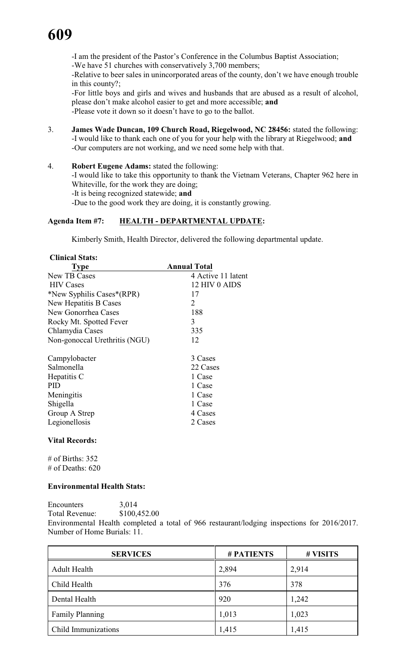-I am the president of the Pastor's Conference in the Columbus Baptist Association;

-We have 51 churches with conservatively 3,700 members;

-Relative to beer sales in unincorporated areas of the county, don't we have enough trouble in this county?;

-For little boys and girls and wives and husbands that are abused as a result of alcohol, please don't make alcohol easier to get and more accessible; **and**

-Please vote it down so it doesn't have to go to the ballot.

- 3. **James Wade Duncan, 109 Church Road, Riegelwood, NC 28456:** stated the following: -I would like to thank each one of you for your help with the library at Riegelwood; **and** -Our computers are not working, and we need some help with that.
- 4. **Robert Eugene Adams:** stated the following:

-I would like to take this opportunity to thank the Vietnam Veterans, Chapter 962 here in Whiteville, for the work they are doing;

-It is being recognized statewide; **and**

-Due to the good work they are doing, it is constantly growing.

#### **Agenda Item #7: HEALTH - DEPARTMENTAL UPDATE:**

Kimberly Smith, Health Director, delivered the following departmental update.

| <b>Clinical Stats:</b> |
|------------------------|
|                        |

| Type                          | <b>Annual Total</b> |
|-------------------------------|---------------------|
| New TB Cases                  | 4 Active 11 latent  |
| <b>HIV</b> Cases              | 12 HIV 0 AIDS       |
| *New Syphilis Cases*(RPR)     | 17                  |
| New Hepatitis B Cases         | 2                   |
| New Gonorrhea Cases           | 188                 |
| Rocky Mt. Spotted Fever       | 3                   |
| Chlamydia Cases               | 335                 |
| Non-gonoccal Urethritis (NGU) | 12                  |
|                               |                     |
| Campylobacter                 | 3 Cases             |
| Salmonella                    | 22 Cases            |
| Hepatitis C                   | 1 Case              |
| <b>PID</b>                    | 1 Case              |
| Meningitis                    | 1 Case              |
| Shigella                      | 1 Case              |
| Group A Strep                 | 4 Cases             |
| Legionellosis                 | 2 Cases             |

#### **Vital Records:**

# of Births: 352 # of Deaths: 620

#### **Environmental Health Stats:**

Encounters 3,014 Total Revenue: \$100,452.00 Environmental Health completed a total of 966 restaurant/lodging inspections for 2016/2017. Number of Home Burials: 11.

| <b>SERVICES</b>        | <b>#PATIENTS</b> | # VISITS |
|------------------------|------------------|----------|
| <b>Adult Health</b>    | 2,894            | 2,914    |
| Child Health           | 376              | 378      |
| Dental Health          | 920              | 1,242    |
| <b>Family Planning</b> | 1,013            | 1,023    |
| Child Immunizations    | 1,415            | 1,415    |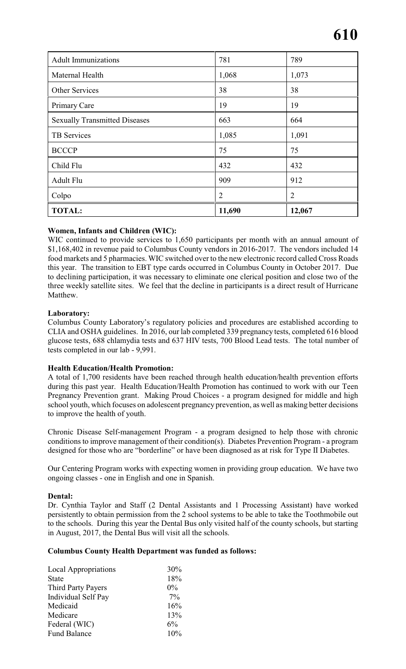| <b>Adult Immunizations</b>           | 781            | 789            |
|--------------------------------------|----------------|----------------|
| Maternal Health                      | 1,068          | 1,073          |
| Other Services                       | 38             | 38             |
| Primary Care                         | 19             | 19             |
| <b>Sexually Transmitted Diseases</b> | 663            | 664            |
| TB Services                          | 1,085          | 1,091          |
| <b>BCCCP</b>                         | 75             | 75             |
| Child Flu                            | 432            | 432            |
| Adult Flu                            | 909            | 912            |
| Colpo                                | $\overline{2}$ | $\overline{2}$ |
| <b>TOTAL:</b>                        | 11,690         | 12,067         |

#### **Women, Infants and Children (WIC):**

WIC continued to provide services to 1,650 participants per month with an annual amount of \$1,168,402 in revenue paid to Columbus County vendors in 2016-2017. The vendors included 14 food markets and 5 pharmacies. WIC switched over to the new electronic record called Cross Roads this year. The transition to EBT type cards occurred in Columbus County in October 2017. Due to declining participation, it was necessary to eliminate one clerical position and close two of the three weekly satellite sites. We feel that the decline in participants is a direct result of Hurricane Matthew.

#### **Laboratory:**

Columbus County Laboratory's regulatory policies and procedures are established according to CLIA and OSHA guidelines. In 2016, our lab completed 339 pregnancy tests, completed 616 blood glucose tests, 688 chlamydia tests and 637 HIV tests, 700 Blood Lead tests. The total number of tests completed in our lab - 9,991.

### **Health Education/Health Promotion:**

A total of 1,700 residents have been reached through health education/health prevention efforts during this past year. Health Education/Health Promotion has continued to work with our Teen Pregnancy Prevention grant. Making Proud Choices - a program designed for middle and high school youth, which focuses on adolescent pregnancy prevention, as well as making better decisions to improve the health of youth.

Chronic Disease Self-management Program - a program designed to help those with chronic conditions to improve management of their condition(s). Diabetes Prevention Program - a program designed for those who are "borderline" or have been diagnosed as at risk for Type II Diabetes.

Our Centering Program works with expecting women in providing group education. We have two ongoing classes - one in English and one in Spanish.

#### **Dental:**

Dr. Cynthia Taylor and Staff (2 Dental Assistants and 1 Processing Assistant) have worked persistently to obtain permission from the 2 school systems to be able to take the Toothmobile out to the schools. During this year the Dental Bus only visited half of the county schools, but starting in August, 2017, the Dental Bus will visit all the schools.

#### **Columbus County Health Department was funded as follows:**

| <b>Local Appropriations</b> | 30%   |
|-----------------------------|-------|
| <b>State</b>                | 18%   |
| Third Party Payers          | $0\%$ |
| <b>Individual Self Pay</b>  | $7\%$ |
| Medicaid                    | 16%   |
| Medicare                    | 13%   |
| Federal (WIC)               | $6\%$ |
| <b>Fund Balance</b>         | 10%   |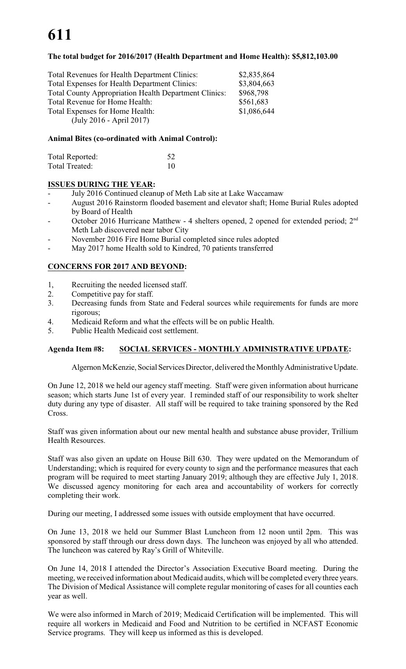# **611**

#### **The total budget for 2016/2017 (Health Department and Home Health): \$5,812,103.00**

| Total Revenues for Health Department Clinics:                | \$2,835,864 |
|--------------------------------------------------------------|-------------|
| Total Expenses for Health Department Clinics:                | \$3,804,663 |
| <b>Total County Appropriation Health Department Clinics:</b> | \$968,798   |
| Total Revenue for Home Health:                               | \$561,683   |
| Total Expenses for Home Health:                              | \$1,086,644 |
| $(\text{July } 2016 - \text{April } 2017)$                   |             |
|                                                              |             |

#### **Animal Bites (co-ordinated with Animal Control):**

| Total Reported: | 52 |
|-----------------|----|
| Total Treated:  | 10 |

#### **ISSUES DURING THE YEAR:**

- July 2016 Continued cleanup of Meth Lab site at Lake Waccamaw
- August 2016 Rainstorm flooded basement and elevator shaft; Home Burial Rules adopted by Board of Health
- October 2016 Hurricane Matthew 4 shelters opened, 2 opened for extended period; 2<sup>nd</sup> Meth Lab discovered near tabor City
- November 2016 Fire Home Burial completed since rules adopted
- May 2017 home Health sold to Kindred, 70 patients transferred

#### **CONCERNS FOR 2017 AND BEYOND:**

- 1, Recruiting the needed licensed staff.
- 2. Competitive pay for staff.
- 3. Decreasing funds from State and Federal sources while requirements for funds are more rigorous;
- 4. Medicaid Reform and what the effects will be on public Health.
- 5. Public Health Medicaid cost settlement.

### **Agenda Item #8: SOCIAL SERVICES - MONTHLY ADMINISTRATIVE UPDATE:**

### Algernon McKenzie, Social Services Director, delivered the Monthly Administrative Update.

On June 12, 2018 we held our agency staff meeting. Staff were given information about hurricane season; which starts June 1st of every year. I reminded staff of our responsibility to work shelter duty during any type of disaster. All staff will be required to take training sponsored by the Red Cross.

Staff was given information about our new mental health and substance abuse provider, Trillium Health Resources.

Staff was also given an update on House Bill 630. They were updated on the Memorandum of Understanding; which is required for every county to sign and the performance measures that each program will be required to meet starting January 2019; although they are effective July 1, 2018. We discussed agency monitoring for each area and accountability of workers for correctly completing their work.

During our meeting, I addressed some issues with outside employment that have occurred.

On June 13, 2018 we held our Summer Blast Luncheon from 12 noon until 2pm. This was sponsored by staff through our dress down days. The luncheon was enjoyed by all who attended. The luncheon was catered by Ray's Grill of Whiteville.

On June 14, 2018 I attended the Director's Association Executive Board meeting. During the meeting, we received information about Medicaid audits, which will be completed every three years. The Division of Medical Assistance will complete regular monitoring of cases for all counties each year as well.

We were also informed in March of 2019; Medicaid Certification will be implemented. This will require all workers in Medicaid and Food and Nutrition to be certified in NCFAST Economic Service programs. They will keep us informed as this is developed.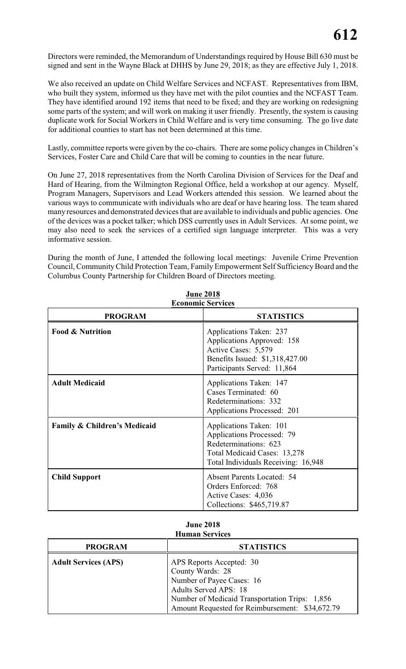Directors were reminded, the Memorandum of Understandings required by House Bill 630 must be signed and sent in the Wayne Black at DHHS by June 29, 2018; as they are effective July 1, 2018.

We also received an update on Child Welfare Services and NCFAST. Representatives from IBM, who built they system, informed us they have met with the pilot counties and the NCFAST Team. They have identified around 192 items that need to be fixed; and they are working on redesigning some parts of the system; and will work on making it user friendly. Presently, the system is causing duplicate work for Social Workers in Child Welfare and is very time consuming. The go live date for additional counties to start has not been determined at this time.

Lastly, committee reports were given by the co-chairs. There are some policy changes in Children's Services, Foster Care and Child Care that will be coming to counties in the near future.

On June 27, 2018 representatives from the North Carolina Division of Services for the Deaf and Hard of Hearing, from the Wilmington Regional Office, held a workshop at our agency. Myself, Program Managers, Supervisors and Lead Workers attended this session. We learned about the various ways to communicate with individuals who are deaf or have hearing loss. The team shared many resources and demonstrated devices that are available to individuals and public agencies. One of the devices was a pocket talker; which DSS currently uses in Adult Services. At some point, we may also need to seek the services of a certified sign language interpreter. This was a very informative session.

During the month of June, I attended the following local meetings: Juvenile Crime Prevention Council, Community Child Protection Team, Family Empowerment Self Sufficiency Board and the Columbus County Partnership for Children Board of Directors meeting.

| <b>Economic Services</b>                |                                                                                                                                                              |  |  |
|-----------------------------------------|--------------------------------------------------------------------------------------------------------------------------------------------------------------|--|--|
| <b>PROGRAM</b>                          | <b>STATISTICS</b>                                                                                                                                            |  |  |
| <b>Food &amp; Nutrition</b>             | Applications Taken: 237<br>Applications Approved: 158<br>Active Cases: 5,579<br>Benefits Issued: \$1,318,427.00<br>Participants Served: 11,864               |  |  |
| <b>Adult Medicaid</b>                   | Applications Taken: 147<br>Cases Terminated: 60<br>Redeterminations: 332<br>Applications Processed: 201                                                      |  |  |
| <b>Family &amp; Children's Medicaid</b> | Applications Taken: 101<br><b>Applications Processed: 79</b><br>Redeterminations: 623<br>Total Medicaid Cases: 13,278<br>Total Individuals Receiving: 16,948 |  |  |
| <b>Child Support</b>                    | <b>Absent Parents Located: 54</b><br>Orders Enforced: 768<br>Active Cases: 4,036<br>Collections: \$465,719.87                                                |  |  |

**June 2018 Economic Services**

#### **June 2018 Human Services**

| <b>PROGRAM</b>              | <b>STATISTICS</b>                                                                                                                                                                                       |
|-----------------------------|---------------------------------------------------------------------------------------------------------------------------------------------------------------------------------------------------------|
| <b>Adult Services (APS)</b> | APS Reports Accepted: 30<br>County Wards: 28<br>Number of Payee Cases: 16<br>Adults Served APS: 18<br>Number of Medicaid Transportation Trips: 1,856<br>Amount Requested for Reimbursement: \$34,672.79 |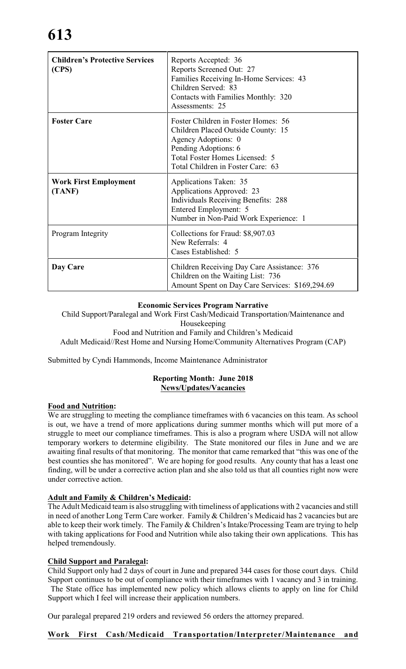# **613**

| <b>Children's Protective Services</b><br>(CPS) | Reports Accepted: 36<br>Reports Screened Out: 27<br>Families Receiving In-Home Services: 43<br>Children Served: 83<br>Contacts with Families Monthly: 320<br>Assessments: 25                    |
|------------------------------------------------|-------------------------------------------------------------------------------------------------------------------------------------------------------------------------------------------------|
| <b>Foster Care</b>                             | Foster Children in Foster Homes: 56<br>Children Placed Outside County: 15<br>Agency Adoptions: 0<br>Pending Adoptions: 6<br>Total Foster Homes Licensed: 5<br>Total Children in Foster Care: 63 |
| <b>Work First Employment</b><br>(TANF)         | Applications Taken: 35<br>Applications Approved: 23<br><b>Individuals Receiving Benefits: 288</b><br>Entered Employment: 5<br>Number in Non-Paid Work Experience: 1                             |
| Program Integrity                              | Collections for Fraud: \$8,907.03<br>New Referrals: 4<br>Cases Established: 5                                                                                                                   |
| Day Care                                       | Children Receiving Day Care Assistance: 376<br>Children on the Waiting List: 736<br>Amount Spent on Day Care Services: \$169,294.69                                                             |

#### **Economic Services Program Narrative**

Child Support/Paralegal and Work First Cash/Medicaid Transportation/Maintenance and Housekeeping Food and Nutrition and Family and Children's Medicaid

Adult Medicaid//Rest Home and Nursing Home/Community Alternatives Program (CAP)

Submitted by Cyndi Hammonds, Income Maintenance Administrator

#### **Reporting Month: June 2018 News/Updates/Vacancies**

#### **Food and Nutrition:**

We are struggling to meeting the compliance timeframes with 6 vacancies on this team. As school is out, we have a trend of more applications during summer months which will put more of a struggle to meet our compliance timeframes. This is also a program where USDA will not allow temporary workers to determine eligibility. The State monitored our files in June and we are awaiting final results of that monitoring. The monitor that came remarked that "this was one of the best counties she has monitored". We are hoping for good results. Any county that has a least one finding, will be under a corrective action plan and she also told us that all counties right now were under corrective action.

#### **Adult and Family & Children's Medicaid:**

The Adult Medicaid team is also struggling with timeliness of applications with 2 vacancies and still in need of another Long Term Care worker. Family & Children's Medicaid has 2 vacancies but are able to keep their work timely. The Family & Children's Intake/Processing Team are trying to help with taking applications for Food and Nutrition while also taking their own applications. This has helped tremendously.

#### **Child Support and Paralegal:**

Child Support only had 2 days of court in June and prepared 344 cases for those court days. Child Support continues to be out of compliance with their timeframes with 1 vacancy and 3 in training. The State office has implemented new policy which allows clients to apply on line for Child Support which I feel will increase their application numbers.

Our paralegal prepared 219 orders and reviewed 56 orders the attorney prepared.

### **Work First Cash/Medicaid Transportation/Interpreter/Maintenance and**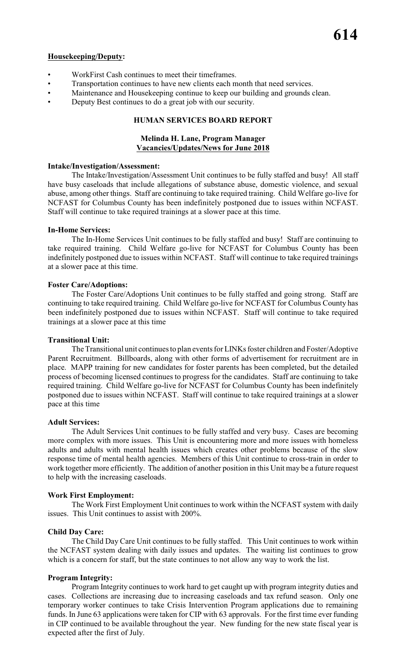#### **Housekeeping/Deputy:**

- WorkFirst Cash continues to meet their timeframes.
- Transportation continues to have new clients each month that need services.
- Maintenance and Housekeeping continue to keep our building and grounds clean.
- Deputy Best continues to do a great job with our security.

#### **HUMAN SERVICES BOARD REPORT**

#### **Melinda H. Lane, Program Manager Vacancies/Updates/News for June 2018**

#### **Intake/Investigation/Assessment:**

The Intake/Investigation/Assessment Unit continues to be fully staffed and busy! All staff have busy caseloads that include allegations of substance abuse, domestic violence, and sexual abuse, among other things. Staff are continuing to take required training. Child Welfare go-live for NCFAST for Columbus County has been indefinitely postponed due to issues within NCFAST. Staff will continue to take required trainings at a slower pace at this time.

#### **In-Home Services:**

The In-Home Services Unit continues to be fully staffed and busy! Staff are continuing to take required training. Child Welfare go-live for NCFAST for Columbus County has been indefinitely postponed due to issues within NCFAST. Staff will continue to take required trainings at a slower pace at this time.

#### **Foster Care/Adoptions:**

The Foster Care/Adoptions Unit continues to be fully staffed and going strong. Staff are continuing to take required training. Child Welfare go-live for NCFAST for Columbus County has been indefinitely postponed due to issues within NCFAST. Staff will continue to take required trainings at a slower pace at this time

#### **Transitional Unit:**

The Transitional unit continues to plan events for LINKs foster children and Foster/Adoptive Parent Recruitment. Billboards, along with other forms of advertisement for recruitment are in place. MAPP training for new candidates for foster parents has been completed, but the detailed process of becoming licensed continues to progress for the candidates. Staff are continuing to take required training. Child Welfare go-live for NCFAST for Columbus County has been indefinitely postponed due to issues within NCFAST. Staff will continue to take required trainings at a slower pace at this time

#### **Adult Services:**

The Adult Services Unit continues to be fully staffed and very busy. Cases are becoming more complex with more issues. This Unit is encountering more and more issues with homeless adults and adults with mental health issues which creates other problems because of the slow response time of mental health agencies. Members of this Unit continue to cross-train in order to work together more efficiently. The addition of another position in this Unit may be a future request to help with the increasing caseloads.

#### **Work First Employment:**

The Work First Employment Unit continues to work within the NCFAST system with daily issues. This Unit continues to assist with 200%.

#### **Child Day Care:**

The Child Day Care Unit continues to be fully staffed. This Unit continues to work within the NCFAST system dealing with daily issues and updates. The waiting list continues to grow which is a concern for staff, but the state continues to not allow any way to work the list.

#### **Program Integrity:**

Program Integrity continues to work hard to get caught up with program integrity duties and cases. Collections are increasing due to increasing caseloads and tax refund season. Only one temporary worker continues to take Crisis Intervention Program applications due to remaining funds. In June 63 applications were taken for CIP with 63 approvals. For the first time ever funding in CIP continued to be available throughout the year. New funding for the new state fiscal year is expected after the first of July.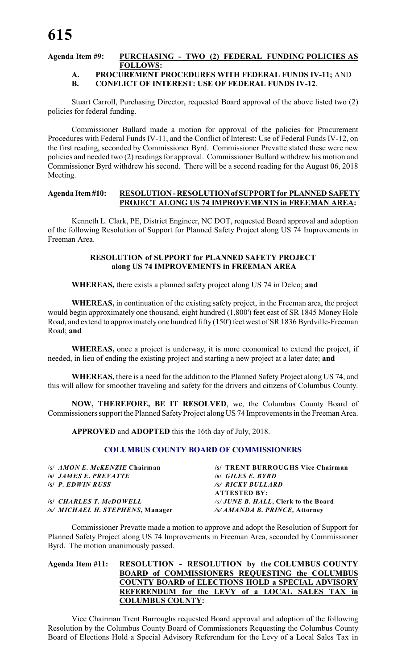### **Agenda Item #9: PURCHASING - TWO (2) FEDERAL FUNDING POLICIES AS FOLLOWS:**

### **A. PROCUREMENT PROCEDURES WITH FEDERAL FUNDS IV-11;** AND **B. CONFLICT OF INTEREST: USE OF FEDERAL FUNDS IV-12**.

Stuart Carroll, Purchasing Director, requested Board approval of the above listed two (2) policies for federal funding.

Commissioner Bullard made a motion for approval of the policies for Procurement Procedures with Federal Funds IV-11, and the Conflict of Interest: Use of Federal Funds IV-12, on the first reading, seconded by Commissioner Byrd. Commissioner Prevatte stated these were new policies and needed two (2) readings for approval. Commissioner Bullard withdrew his motion and Commissioner Byrd withdrew his second. There will be a second reading for the August 06, 2018 Meeting.

#### **Agenda Item #10: RESOLUTION - RESOLUTION of SUPPORT for PLANNED SAFETY PROJECT ALONG US 74 IMPROVEMENTS in FREEMAN AREA:**

Kenneth L. Clark, PE, District Engineer, NC DOT, requested Board approval and adoption of the following Resolution of Support for Planned Safety Project along US 74 Improvements in Freeman Area.

#### **RESOLUTION of SUPPORT for PLANNED SAFETY PROJECT along US 74 IMPROVEMENTS in FREEMAN AREA**

**WHEREAS,** there exists a planned safety project along US 74 in Delco; **and**

**WHEREAS,** in continuation of the existing safety project, in the Freeman area, the project would begin approximately one thousand, eight hundred (1,800') feet east of SR 1845 Money Hole Road, and extend to approximately one hundred fifty (150') feet west of SR 1836 Byrdville-Freeman Road; **and**

**WHEREAS,** once a project is underway, it is more economical to extend the project, if needed, in lieu of ending the existing project and starting a new project at a later date; **and**

**WHEREAS,** there is a need for the addition to the Planned Safety Project along US 74, and this will allow for smoother traveling and safety for the drivers and citizens of Columbus County.

**NOW, THEREFORE, BE IT RESOLVED**, we, the Columbus County Board of Commissioners support the Planned Safety Project along US 74 Improvements in the Freeman Area.

**APPROVED** and **ADOPTED** this the 16th day of July, 2018.

#### **COLUMBUS COUNTY BOARD OF COMMISSIONERS**

| /s/ <i>AMON E. McKENZIE</i> Chairman | /s/ TRENT BURROUGHS Vice Chairman   |
|--------------------------------------|-------------------------------------|
| <i><b>SI JAMES E. PREVATTE</b></i>   | $\sqrt{s}$ GILES E. BYRD            |
| s P. EDWIN RUSS                      | /s/ RICKY BULLARD                   |
|                                      | <b>ATTESTED BY:</b>                 |
| <b>ISI</b> CHARLES T. McDOWELL       | /s/JUNE B. HALL, Clerk to the Board |
| /s/ MICHAEL H. STEPHENS, Manager     | /s/ AMANDA B. PRINCE, Attorney      |

Commissioner Prevatte made a motion to approve and adopt the Resolution of Support for Planned Safety Project along US 74 Improvements in Freeman Area, seconded by Commissioner Byrd. The motion unanimously passed.

#### **Agenda Item #11: RESOLUTION - RESOLUTION by the COLUMBUS COUNTY BOARD of COMMISSIONERS REQUESTING the COLUMBUS COUNTY BOARD of ELECTIONS HOLD a SPECIAL ADVISORY REFERENDUM for the LEVY of a LOCAL SALES TAX in COLUMBUS COUNTY:**

Vice Chairman Trent Burroughs requested Board approval and adoption of the following Resolution by the Columbus County Board of Commissioners Requesting the Columbus County Board of Elections Hold a Special Advisory Referendum for the Levy of a Local Sales Tax in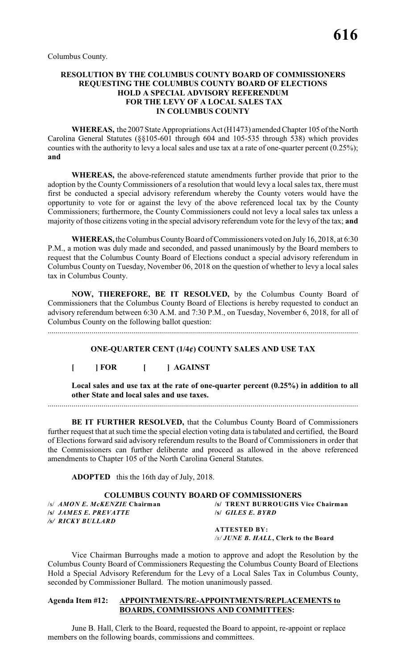Columbus County.

#### **RESOLUTION BY THE COLUMBUS COUNTY BOARD OF COMMISSIONERS REQUESTING THE COLUMBUS COUNTY BOARD OF ELECTIONS HOLD A SPECIAL ADVISORY REFERENDUM FOR THE LEVY OF A LOCAL SALES TAX IN COLUMBUS COUNTY**

**WHEREAS,** the 2007 State Appropriations Act (H1473) amended Chapter 105 of the North Carolina General Statutes (§§105-601 through 604 and 105-535 through 538) which provides counties with the authority to levy a local sales and use tax at a rate of one-quarter percent (0.25%); **and**

**WHEREAS,** the above-referenced statute amendments further provide that prior to the adoption by the County Commissioners of a resolution that would levy a local sales tax, there must first be conducted a special advisory referendum whereby the County voters would have the opportunity to vote for or against the levy of the above referenced local tax by the County Commissioners; furthermore, the County Commissioners could not levy a local sales tax unless a majority of those citizens voting in the special advisory referendum vote for the levy of the tax; **and**

**WHEREAS,** the Columbus County Board of Commissioners voted on July16, 2018, at 6:30 P.M., a motion was duly made and seconded, and passed unanimously by the Board members to request that the Columbus County Board of Elections conduct a special advisory referendum in Columbus County on Tuesday, November 06, 2018 on the question of whether to levy a local sales tax in Columbus County.

**NOW, THEREFORE, BE IT RESOLVED,** by the Columbus County Board of Commissioners that the Columbus County Board of Elections is hereby requested to conduct an advisory referendum between 6:30 A.M. and 7:30 P.M., on Tuesday, November 6, 2018, for all of Columbus County on the following ballot question:

............................................................................................................................................................

#### **ONE-QUARTER CENT (1/4¢) COUNTY SALES AND USE TAX**

### **[ ] FOR [ ] AGAINST**

**Local sales and use tax at the rate of one-quarter percent (0.25%) in addition to all other State and local sales and use taxes.**

............................................................................................................................................................

**BE IT FURTHER RESOLVED,** that the Columbus County Board of Commissioners further request that at such time the special election voting data is tabulated and certified, the Board of Elections forward said advisory referendum results to the Board of Commissioners in order that the Commissioners can further deliberate and proceed as allowed in the above referenced amendments to Chapter 105 of the North Carolina General Statutes.

**ADOPTED** this the 16th day of July, 2018.

## **COLUMBUS COUNTY BOARD OF COMMISSIONERS**<br>S AMON E. MCKENZIE Chairman (S) TRENT BURROUGHS

**/s/** *JAMES E. PREVATTE* **/s/** *GILES E. BYRD /s/ RICKY BULLARD*

/s/ *AMON E. McKENZIE* **Chairman /s/ TRENT BURROUGHS Vice Chairman**

**ATTESTED BY:** */s/ JUNE B. HALL***, Clerk to the Board**

Vice Chairman Burroughs made a motion to approve and adopt the Resolution by the Columbus County Board of Commissioners Requesting the Columbus County Board of Elections Hold a Special Advisory Referendum for the Levy of a Local Sales Tax in Columbus County, seconded by Commissioner Bullard. The motion unanimously passed.

#### **Agenda Item #12: APPOINTMENTS/RE-APPOINTMENTS/REPLACEMENTS to BOARDS, COMMISSIONS AND COMMITTEES:**

June B. Hall, Clerk to the Board, requested the Board to appoint, re-appoint or replace members on the following boards, commissions and committees.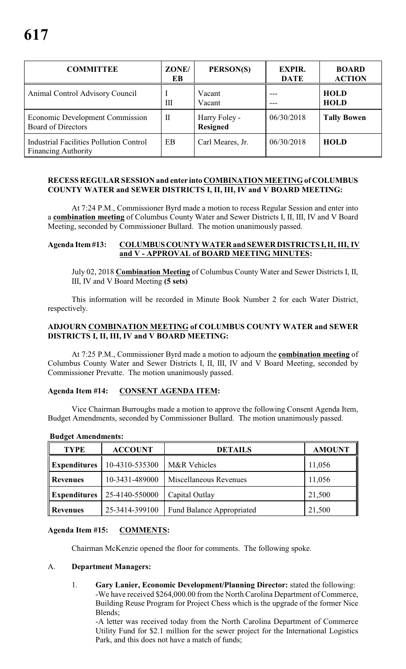| <b>COMMITTEE</b>                                                             | ZONE/<br>EB  | PERSON(S)                        | <b>EXPIR.</b><br><b>DATE</b> | <b>BOARD</b><br><b>ACTION</b> |
|------------------------------------------------------------------------------|--------------|----------------------------------|------------------------------|-------------------------------|
| Animal Control Advisory Council                                              | Ш            | Vacant<br>Vacant                 |                              | <b>HOLD</b><br><b>HOLD</b>    |
| <b>Economic Development Commission</b><br><b>Board of Directors</b>          | $\mathbf{I}$ | Harry Foley -<br><b>Resigned</b> | 06/30/2018                   | <b>Tally Bowen</b>            |
| <b>Industrial Facilities Pollution Control</b><br><b>Financing Authority</b> | EB           | Carl Meares, Jr.                 | 06/30/2018                   | <b>HOLD</b>                   |

#### **RECESS REGULAR SESSION and enter into COMBINATION MEETING of COLUMBUS COUNTY WATER and SEWER DISTRICTS I, II, III, IV and V BOARD MEETING:**

At 7:24 P.M., Commissioner Byrd made a motion to recess Regular Session and enter into a **combination meeting** of Columbus County Water and Sewer Districts I, II, III, IV and V Board Meeting, seconded by Commissioner Bullard. The motion unanimously passed.

#### **Agenda Item #13: COLUMBUS COUNTY WATER and SEWER DISTRICTS I, II, III, IV and V - APPROVAL of BOARD MEETING MINUTES:**

July 02, 2018 **Combination Meeting** of Columbus County Water and Sewer Districts I, II, III, IV and V Board Meeting **(5 sets)**

This information will be recorded in Minute Book Number 2 for each Water District, respectively.

#### **ADJOURN COMBINATION MEETING of COLUMBUS COUNTY WATER and SEWER DISTRICTS I, II, III, IV and V BOARD MEETING:**

At 7:25 P.M., Commissioner Byrd made a motion to adjourn the **combination meeting** of Columbus County Water and Sewer Districts I, II, III, IV and V Board Meeting, seconded by Commissioner Prevatte. The motion unanimously passed.

#### **Agenda Item #14: CONSENT AGENDA ITEM:**

Vice Chairman Burroughs made a motion to approve the following Consent Agenda Item, Budget Amendments, seconded by Commissioner Bullard. The motion unanimously passed.

| <b>TYPE</b>         | <b>ACCOUNT</b> | <b>DETAILS</b>                   | <b>AMOUNT</b> |
|---------------------|----------------|----------------------------------|---------------|
| <b>Expenditures</b> | 10-4310-535300 | M&R Vehicles                     | 11,056        |
| <b>Revenues</b>     | 10-3431-489000 | Miscellaneous Revenues           | 11,056        |
| <b>Expenditures</b> | 25-4140-550000 | Capital Outlay                   | 21,500        |
| Revenues            | 25-3414-399100 | <b>Fund Balance Appropriated</b> | 21,500        |

#### **Budget Amendments:**

### **Agenda Item #15: COMMENTS:**

Chairman McKenzie opened the floor for comments. The following spoke.

#### A. **Department Managers:**

1. **Gary Lanier, Economic Development/Planning Director:** stated the following: -We have received \$264,000.00 from the North Carolina Department of Commerce, Building Reuse Program for Project Chess which is the upgrade of the former Nice Blends;

-A letter was received today from the North Carolina Department of Commerce Utility Fund for \$2.1 million for the sewer project for the International Logistics Park, and this does not have a match of funds;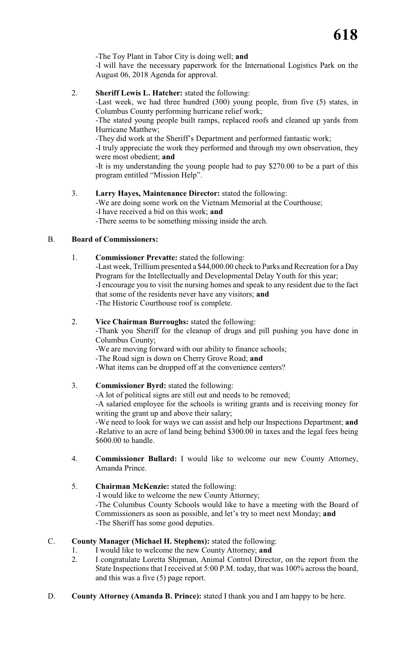-The Toy Plant in Tabor City is doing well; **and**

-I will have the necessary paperwork for the International Logistics Park on the August 06, 2018 Agenda for approval.

2. **Sheriff Lewis L. Hatcher:** stated the following:

-Last week, we had three hundred (300) young people, from five (5) states, in Columbus County performing hurricane relief work;

-The stated young people built ramps, replaced roofs and cleaned up yards from Hurricane Matthew;

-They did work at the Sheriff's Department and performed fantastic work;

-I truly appreciate the work they performed and through my own observation, they were most obedient; **and**

-It is my understanding the young people had to pay \$270.00 to be a part of this program entitled "Mission Help".

3. **Larry Hayes, Maintenance Director:** stated the following:

-We are doing some work on the Vietnam Memorial at the Courthouse; -I have received a bid on this work; **and**

-There seems to be something missing inside the arch.

#### B. **Board of Commissioners:**

1. **Commissioner Prevatte:** stated the following:

-Last week, Trillium presented a \$44,000.00 check to Parks and Recreation for a Day Program for the Intellectually and Developmental Delay Youth for this year; -I encourage you to visit the nursing homes and speak to any resident due to the fact that some of the residents never have any visitors; **and** -The Historic Courthouse roof is complete.

#### 2. **Vice Chairman Burroughs:** stated the following:

-Thank you Sheriff for the cleanup of drugs and pill pushing you have done in Columbus County;

-We are moving forward with our ability to finance schools;

-The Road sign is down on Cherry Grove Road; **and**

-What items can be dropped off at the convenience centers?

3. **Commissioner Byrd:** stated the following:

-A lot of political signs are still out and needs to be removed;

-A salaried employee for the schools is writing grants and is receiving money for writing the grant up and above their salary;

-We need to look for ways we can assist and help our Inspections Department; **and** -Relative to an acre of land being behind \$300.00 in taxes and the legal fees being \$600.00 to handle.

- 4. **Commissioner Bullard:** I would like to welcome our new County Attorney, Amanda Prince.
- 5. **Chairman McKenzie:** stated the following: -I would like to welcome the new County Attorney;

-The Columbus County Schools would like to have a meeting with the Board of Commissioners as soon as possible, and let's try to meet next Monday; **and** -The Sheriff has some good deputies.

### C. **County Manager (Michael H. Stephens):** stated the following:

- 1. I would like to welcome the new County Attorney; **and**
- 2. I congratulate Loretta Shipman, Animal Control Director, on the report from the State Inspections that I received at 5:00 P.M. today, that was 100% across the board, and this was a five (5) page report.
- D. **County Attorney (Amanda B. Prince):** stated I thank you and I am happy to be here.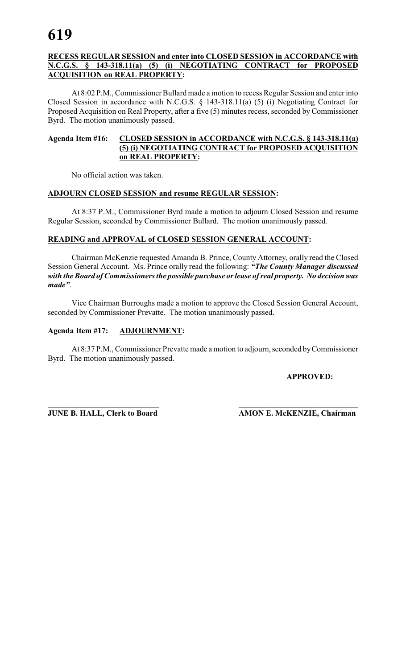#### **RECESS REGULAR SESSION and enter into CLOSED SESSION in ACCORDANCE with N.C.G.S. § 143-318.11(a) (5) (i) NEGOTIATING CONTRACT for PROPOSED ACQUISITION on REAL PROPERTY:**

At 8:02 P.M.,Commissioner Bullard made a motion to recess Regular Session and enter into Closed Session in accordance with N.C.G.S. § 143-318.11(a) (5) (i) Negotiating Contract for Proposed Acquisition on Real Property, after a five (5) minutes recess, seconded by Commissioner Byrd. The motion unanimously passed.

#### **Agenda Item #16: CLOSED SESSION in ACCORDANCE with N.C.G.S. § 143-318.11(a) (5) (i) NEGOTIATING CONTRACT for PROPOSED ACQUISITION on REAL PROPERTY:**

No official action was taken.

#### **ADJOURN CLOSED SESSION and resume REGULAR SESSION:**

At 8:37 P.M., Commissioner Byrd made a motion to adjourn Closed Session and resume Regular Session, seconded by Commissioner Bullard. The motion unanimously passed.

#### **READING and APPROVAL of CLOSED SESSION GENERAL ACCOUNT:**

Chairman McKenzie requested Amanda B. Prince, County Attorney, orally read the Closed Session General Account. Ms. Prince orally read the following: *"The County Manager discussed with the Board of Commissioners the possible purchase or lease of real property. No decision was made"*.

Vice Chairman Burroughs made a motion to approve the Closed Session General Account, seconded by Commissioner Prevatte. The motion unanimously passed.

### **Agenda Item #17: ADJOURNMENT:**

At 8:37 P.M., Commissioner Prevatte made a motion to adjourn, seconded by Commissioner Byrd. The motion unanimously passed.

#### **APPROVED:**

**\_\_\_\_\_\_\_\_\_\_\_\_\_\_\_\_\_\_\_\_\_\_\_\_\_\_\_\_ \_\_\_\_\_\_\_\_\_\_\_\_\_\_\_\_\_\_\_\_\_\_\_\_\_\_\_\_\_\_**

**JUNE B. HALL, Clerk to Board AMON E. McKENZIE, Chairman**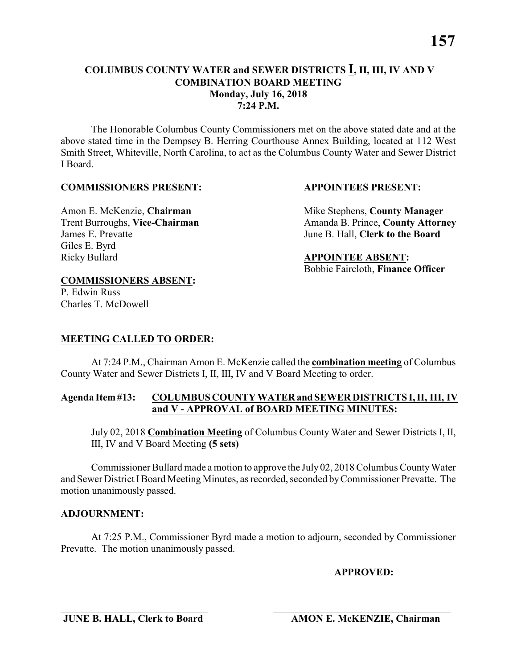The Honorable Columbus County Commissioners met on the above stated date and at the above stated time in the Dempsey B. Herring Courthouse Annex Building, located at 112 West Smith Street, Whiteville, North Carolina, to act as the Columbus County Water and Sewer District I Board.

#### **COMMISSIONERS PRESENT: APPOINTEES PRESENT:**

## James E. Prevatte June B. Hall, **Clerk to the Board** Giles E. Byrd Ricky Bullard **APPOINTEE ABSENT:**

Amon E. McKenzie, **Chairman** Mike Stephens, **County Manager** Trent Burroughs, Vice-Chairman Amanda B. Prince, County Attorney

Bobbie Faircloth, **Finance Officer**

### **COMMISSIONERS ABSENT:**

P. Edwin Russ Charles T. McDowell

### **MEETING CALLED TO ORDER:**

At 7:24 P.M., Chairman Amon E. McKenzie called the **combination meeting** of Columbus County Water and Sewer Districts I, II, III, IV and V Board Meeting to order.

#### **Agenda Item #13: COLUMBUS COUNTY WATER and SEWER DISTRICTS I, II, III, IV and V - APPROVAL of BOARD MEETING MINUTES:**

July 02, 2018 **Combination Meeting** of Columbus County Water and Sewer Districts I, II, III, IV and V Board Meeting **(5 sets)**

Commissioner Bullard made a motion to approve the July 02, 2018 Columbus County Water and Sewer District IBoard Meeting Minutes, as recorded, seconded by Commissioner Prevatte. The motion unanimously passed.

#### **ADJOURNMENT:**

At 7:25 P.M., Commissioner Byrd made a motion to adjourn, seconded by Commissioner Prevatte. The motion unanimously passed.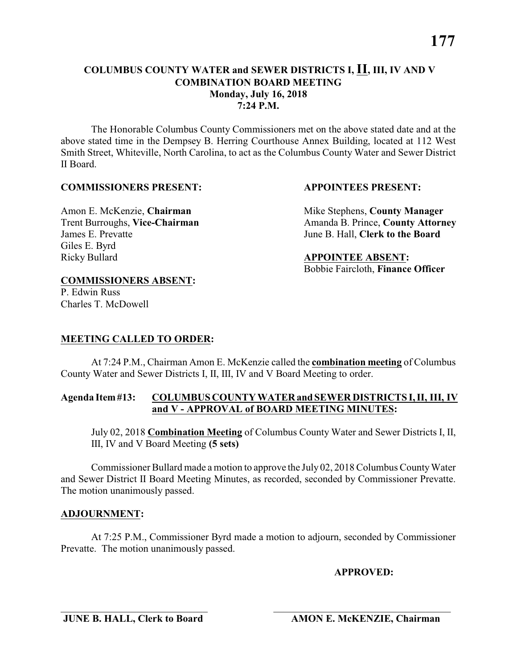**177**

#### **COLUMBUS COUNTY WATER and SEWER DISTRICTS I, II, III, IV AND V COMBINATION BOARD MEETING Monday, July 16, 2018 7:24 P.M.**

The Honorable Columbus County Commissioners met on the above stated date and at the above stated time in the Dempsey B. Herring Courthouse Annex Building, located at 112 West Smith Street, Whiteville, North Carolina, to act as the Columbus County Water and Sewer District II Board.

#### **COMMISSIONERS PRESENT: APPOINTEES PRESENT:**

## Amon E. McKenzie, **Chairman** Mike Stephens, **County Manager** James E. Prevatte June B. Hall, **Clerk to the Board** Giles E. Byrd

Trent Burroughs, Vice-Chairman Amanda B. Prince, County Attorney

**COMMISSIONERS ABSENT:**

P. Edwin Russ Charles T. McDowell

Ricky Bullard **APPOINTEE ABSENT:**

Bobbie Faircloth, **Finance Officer**

### **MEETING CALLED TO ORDER:**

At 7:24 P.M., Chairman Amon E. McKenzie called the **combination meeting** of Columbus County Water and Sewer Districts I, II, III, IV and V Board Meeting to order.

#### **Agenda Item #13: COLUMBUS COUNTY WATER and SEWER DISTRICTS I, II, III, IV and V - APPROVAL of BOARD MEETING MINUTES:**

July 02, 2018 **Combination Meeting** of Columbus County Water and Sewer Districts I, II, III, IV and V Board Meeting **(5 sets)**

Commissioner Bullard made a motion to approve the July 02, 2018 Columbus County Water and Sewer District II Board Meeting Minutes, as recorded, seconded by Commissioner Prevatte. The motion unanimously passed.

#### **ADJOURNMENT:**

At 7:25 P.M., Commissioner Byrd made a motion to adjourn, seconded by Commissioner Prevatte. The motion unanimously passed.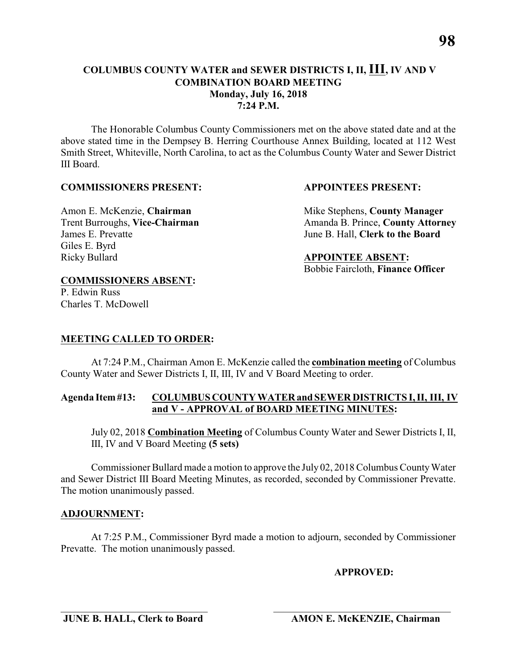#### **COLUMBUS COUNTY WATER and SEWER DISTRICTS I, II, III, IV AND V COMBINATION BOARD MEETING Monday, July 16, 2018 7:24 P.M.**

The Honorable Columbus County Commissioners met on the above stated date and at the above stated time in the Dempsey B. Herring Courthouse Annex Building, located at 112 West Smith Street, Whiteville, North Carolina, to act as the Columbus County Water and Sewer District III Board.

#### **COMMISSIONERS PRESENT: APPOINTEES PRESENT:**

## James E. Prevatte June B. Hall, **Clerk to the Board** Giles E. Byrd Ricky Bullard **APPOINTEE ABSENT:**

Amon E. McKenzie, **Chairman** Mike Stephens, **County Manager** Trent Burroughs, Vice-Chairman Amanda B. Prince, County Attorney

Bobbie Faircloth, **Finance Officer**

#### **COMMISSIONERS ABSENT:**

P. Edwin Russ Charles T. McDowell

#### **MEETING CALLED TO ORDER:**

At 7:24 P.M., Chairman Amon E. McKenzie called the **combination meeting** of Columbus County Water and Sewer Districts I, II, III, IV and V Board Meeting to order.

#### **Agenda Item #13: COLUMBUS COUNTY WATER and SEWER DISTRICTS I, II, III, IV and V - APPROVAL of BOARD MEETING MINUTES:**

July 02, 2018 **Combination Meeting** of Columbus County Water and Sewer Districts I, II, III, IV and V Board Meeting **(5 sets)**

Commissioner Bullard made a motion to approve the July 02, 2018 Columbus County Water and Sewer District III Board Meeting Minutes, as recorded, seconded by Commissioner Prevatte. The motion unanimously passed.

#### **ADJOURNMENT:**

At 7:25 P.M., Commissioner Byrd made a motion to adjourn, seconded by Commissioner Prevatte. The motion unanimously passed.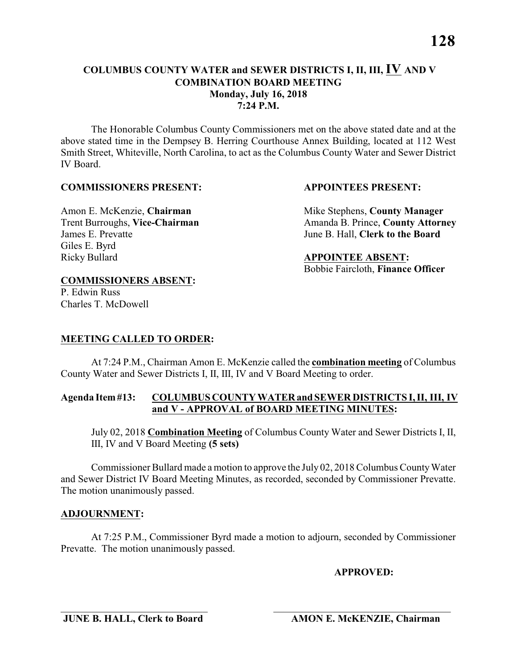The Honorable Columbus County Commissioners met on the above stated date and at the above stated time in the Dempsey B. Herring Courthouse Annex Building, located at 112 West Smith Street, Whiteville, North Carolina, to act as the Columbus County Water and Sewer District IV Board.

#### **COMMISSIONERS PRESENT: APPOINTEES PRESENT:**

## James E. Prevatte June B. Hall, **Clerk to the Board** Giles E. Byrd Ricky Bullard **APPOINTEE ABSENT:**

Amon E. McKenzie, **Chairman** Mike Stephens, **County Manager** Trent Burroughs, Vice-Chairman Amanda B. Prince, County Attorney

Bobbie Faircloth, **Finance Officer**

#### **COMMISSIONERS ABSENT:**

P. Edwin Russ Charles T. McDowell

### **MEETING CALLED TO ORDER:**

At 7:24 P.M., Chairman Amon E. McKenzie called the **combination meeting** of Columbus County Water and Sewer Districts I, II, III, IV and V Board Meeting to order.

#### **Agenda Item #13: COLUMBUS COUNTY WATER and SEWER DISTRICTS I, II, III, IV and V - APPROVAL of BOARD MEETING MINUTES:**

July 02, 2018 **Combination Meeting** of Columbus County Water and Sewer Districts I, II, III, IV and V Board Meeting **(5 sets)**

Commissioner Bullard made a motion to approve the July 02, 2018 Columbus County Water and Sewer District IV Board Meeting Minutes, as recorded, seconded by Commissioner Prevatte. The motion unanimously passed.

#### **ADJOURNMENT:**

At 7:25 P.M., Commissioner Byrd made a motion to adjourn, seconded by Commissioner Prevatte. The motion unanimously passed.